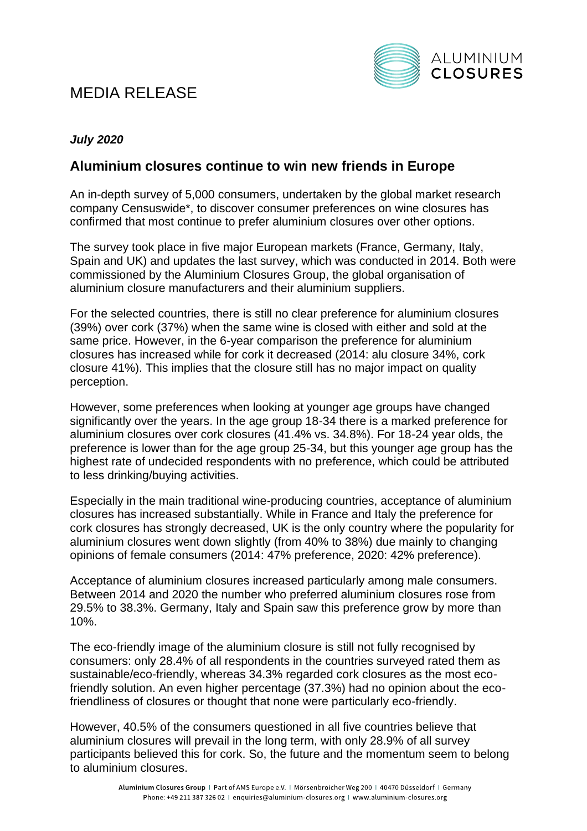# MEDIA RELEASE



### *July 2020*

## **Aluminium closures continue to win new friends in Europe**

An in-depth survey of 5,000 consumers, undertaken by the global market research company Censuswide\*, to discover consumer preferences on wine closures has confirmed that most continue to prefer aluminium closures over other options.

The survey took place in five major European markets (France, Germany, Italy, Spain and UK) and updates the last survey, which was conducted in 2014. Both were commissioned by the Aluminium Closures Group, the global organisation of aluminium closure manufacturers and their aluminium suppliers.

For the selected countries, there is still no clear preference for aluminium closures (39%) over cork (37%) when the same wine is closed with either and sold at the same price. However, in the 6-year comparison the preference for aluminium closures has increased while for cork it decreased (2014: alu closure 34%, cork closure 41%). This implies that the closure still has no major impact on quality perception.

However, some preferences when looking at younger age groups have changed significantly over the years. In the age group 18-34 there is a marked preference for aluminium closures over cork closures (41.4% vs. 34.8%). For 18-24 year olds, the preference is lower than for the age group 25-34, but this younger age group has the highest rate of undecided respondents with no preference, which could be attributed to less drinking/buying activities.

Especially in the main traditional wine-producing countries, acceptance of aluminium closures has increased substantially. While in France and Italy the preference for cork closures has strongly decreased, UK is the only country where the popularity for aluminium closures went down slightly (from 40% to 38%) due mainly to changing opinions of female consumers (2014: 47% preference, 2020: 42% preference).

Acceptance of aluminium closures increased particularly among male consumers. Between 2014 and 2020 the number who preferred aluminium closures rose from 29.5% to 38.3%. Germany, Italy and Spain saw this preference grow by more than 10%.

The eco-friendly image of the aluminium closure is still not fully recognised by consumers: only 28.4% of all respondents in the countries surveyed rated them as sustainable/eco-friendly, whereas 34.3% regarded cork closures as the most ecofriendly solution. An even higher percentage (37.3%) had no opinion about the ecofriendliness of closures or thought that none were particularly eco-friendly.

However, 40.5% of the consumers questioned in all five countries believe that aluminium closures will prevail in the long term, with only 28.9% of all survey participants believed this for cork. So, the future and the momentum seem to belong to aluminium closures.